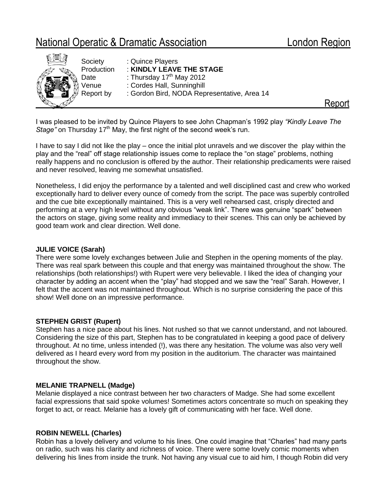# National Operatic & Dramatic Association London Region



I was pleased to be invited by Quince Players to see John Chapman's 1992 play *"Kindly Leave The*  Stage" on Thursday 17<sup>th</sup> May, the first night of the second week's run.

I have to say I did not like the play – once the initial plot unravels and we discover the play within the play and the "real" off stage relationship issues come to replace the "on stage" problems, nothing really happens and no conclusion is offered by the author. Their relationship predicaments were raised and never resolved, leaving me somewhat unsatisfied.

Nonetheless, I did enjoy the performance by a talented and well disciplined cast and crew who worked exceptionally hard to deliver every ounce of comedy from the script. The pace was superbly controlled and the cue bite exceptionally maintained. This is a very well rehearsed cast, crisply directed and performing at a very high level without any obvious "weak link". There was genuine "spark" between the actors on stage, giving some reality and immediacy to their scenes. This can only be achieved by good team work and clear direction. Well done.

## **JULIE VOICE (Sarah)**

There were some lovely exchanges between Julie and Stephen in the opening moments of the play. There was real spark between this couple and that energy was maintained throughout the show. The relationships (both relationships!) with Rupert were very believable. I liked the idea of changing your character by adding an accent when the "play" had stopped and we saw the "real" Sarah. However, I felt that the accent was not maintained throughout. Which is no surprise considering the pace of this show! Well done on an impressive performance.

## **STEPHEN GRIST (Rupert)**

Stephen has a nice pace about his lines. Not rushed so that we cannot understand, and not laboured. Considering the size of this part, Stephen has to be congratulated in keeping a good pace of delivery throughout. At no time, unless intended (!), was there any hesitation. The volume was also very well delivered as I heard every word from my position in the auditorium. The character was maintained throughout the show.

## **MELANIE TRAPNELL (Madge)**

Melanie displayed a nice contrast between her two characters of Madge. She had some excellent facial expressions that said spoke volumes! Sometimes actors concentrate so much on speaking they forget to act, or react. Melanie has a lovely gift of communicating with her face. Well done.

## **ROBIN NEWELL (Charles)**

Robin has a lovely delivery and volume to his lines. One could imagine that "Charles" had many parts on radio, such was his clarity and richness of voice. There were some lovely comic moments when delivering his lines from inside the trunk. Not having any visual cue to aid him, I though Robin did very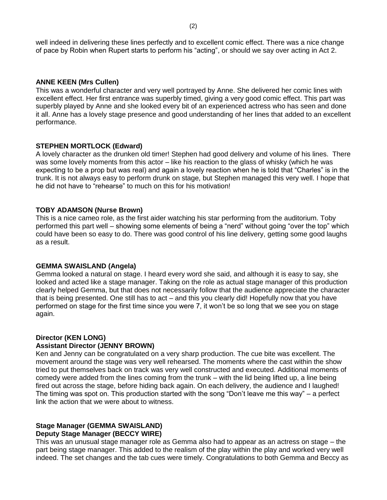well indeed in delivering these lines perfectly and to excellent comic effect. There was a nice change of pace by Robin when Rupert starts to perform his "acting", or should we say over acting in Act 2.

#### **ANNE KEEN (Mrs Cullen)**

This was a wonderful character and very well portrayed by Anne. She delivered her comic lines with excellent effect. Her first entrance was superbly timed, giving a very good comic effect. This part was superbly played by Anne and she looked every bit of an experienced actress who has seen and done it all. Anne has a lovely stage presence and good understanding of her lines that added to an excellent performance.

## **STEPHEN MORTLOCK (Edward)**

A lovely character as the drunken old timer! Stephen had good delivery and volume of his lines. There was some lovely moments from this actor – like his reaction to the glass of whisky (which he was expecting to be a prop but was real) and again a lovely reaction when he is told that "Charles" is in the trunk. It is not always easy to perform drunk on stage, but Stephen managed this very well. I hope that he did not have to "rehearse" to much on this for his motivation!

#### **TOBY ADAMSON (Nurse Brown)**

This is a nice cameo role, as the first aider watching his star performing from the auditorium. Toby performed this part well – showing some elements of being a "nerd" without going "over the top" which could have been so easy to do. There was good control of his line delivery, getting some good laughs as a result.

#### **GEMMA SWAISLAND (Angela)**

Gemma looked a natural on stage. I heard every word she said, and although it is easy to say, she looked and acted like a stage manager. Taking on the role as actual stage manager of this production clearly helped Gemma, but that does not necessarily follow that the audience appreciate the character that is being presented. One still has to act – and this you clearly did! Hopefully now that you have performed on stage for the first time since you were 7, it won't be so long that we see you on stage again.

## **Director (KEN LONG)**

## **Assistant Director (JENNY BROWN)**

Ken and Jenny can be congratulated on a very sharp production. The cue bite was excellent. The movement around the stage was very well rehearsed. The moments where the cast within the show tried to put themselves back on track was very well constructed and executed. Additional moments of comedy were added from the lines coming from the trunk – with the lid being lifted up, a line being fired out across the stage, before hiding back again. On each delivery, the audience and I laughed! The timing was spot on. This production started with the song "Don't leave me this way" – a perfect link the action that we were about to witness.

#### **Stage Manager (GEMMA SWAISLAND) Deputy Stage Manager (BECCY WIRE)**

This was an unusual stage manager role as Gemma also had to appear as an actress on stage – the part being stage manager. This added to the realism of the play within the play and worked very well indeed. The set changes and the tab cues were timely. Congratulations to both Gemma and Beccy as